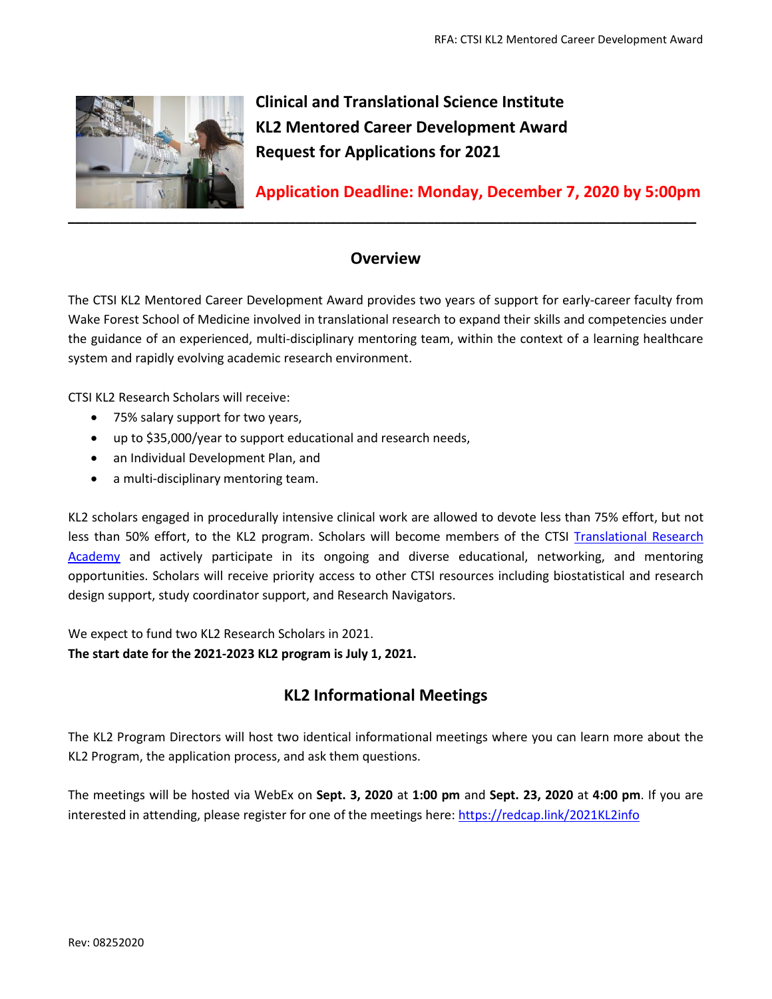

**Clinical and Translational Science Institute KL2 Mentored Career Development Award Request for Applications for 2021**

**Application Deadline: Monday, December 7, 2020 by 5:00pm**

# **Overview**

The CTSI KL2 Mentored Career Development Award provides two years of support for early-career faculty from Wake Forest School of Medicine involved in translational research to expand their skills and competencies under the guidance of an experienced, multi-disciplinary mentoring team, within the context of a learning healthcare system and rapidly evolving academic research environment.

CTSI KL2 Research Scholars will receive:

- 75% salary support for two years,
- up to \$35,000/year to support educational and research needs,
- an Individual Development Plan, and
- a multi-disciplinary mentoring team.

KL2 scholars engaged in procedurally intensive clinical work are allowed to devote less than 75% effort, but not less than 50% effort, to the KL2 program. Scholars will become members of the CTSI Translational Research [Academy](https://ctsi.wakehealth.edu/Education-and-Training/Faculty/Translational-Research-Academy) and actively participate in its ongoing and diverse educational, networking, and mentoring opportunities. Scholars will receive priority access to other CTSI resources including biostatistical and research design support, study coordinator support, and Research Navigators.

We expect to fund two KL2 Research Scholars in 2021.

**The start date for the 2021-2023 KL2 program is July 1, 2021.** 

# **KL2 Informational Meetings**

The KL2 Program Directors will host two identical informational meetings where you can learn more about the KL2 Program, the application process, and ask them questions.

The meetings will be hosted via WebEx on **Sept. 3, 2020** at **1:00 pm** and **Sept. 23, 2020** at **4:00 pm**. If you are interested in attending, please register for one of the meetings here: <https://redcap.link/2021KL2info>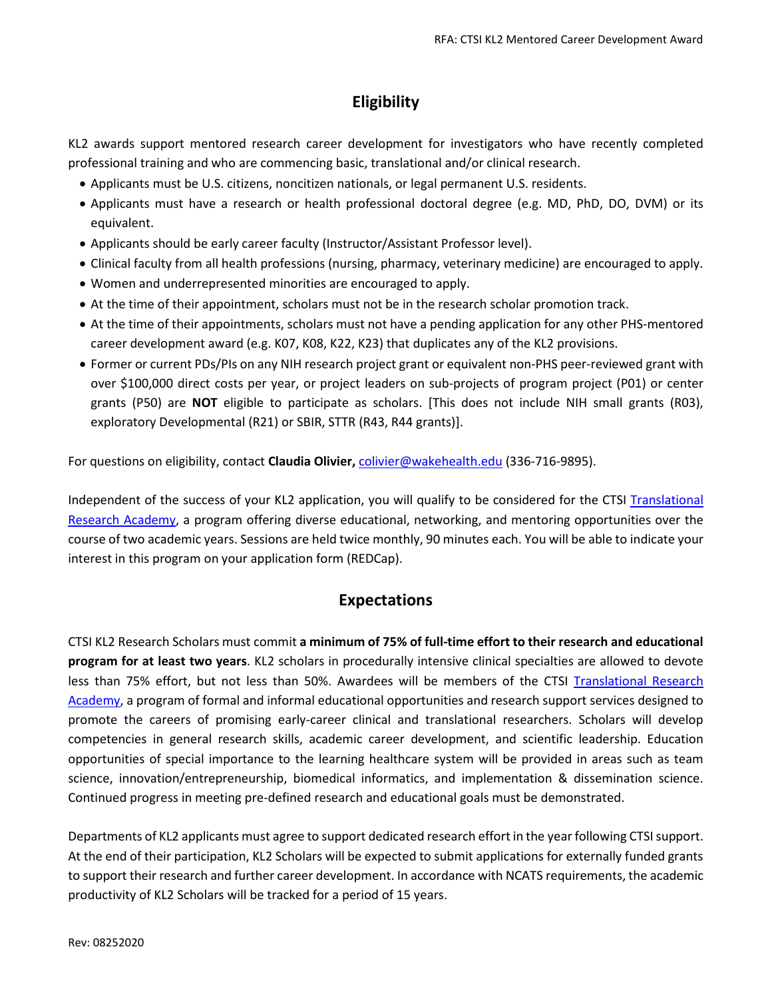# **Eligibility**

KL2 awards support mentored research career development for investigators who have recently completed professional training and who are commencing basic, translational and/or clinical research.

- Applicants must be U.S. citizens, noncitizen nationals, or legal permanent U.S. residents.
- Applicants must have a research or health professional doctoral degree (e.g. MD, PhD, DO, DVM) or its equivalent.
- Applicants should be early career faculty (Instructor/Assistant Professor level).
- Clinical faculty from all health professions (nursing, pharmacy, veterinary medicine) are encouraged to apply.
- Women and underrepresented minorities are encouraged to apply.
- At the time of their appointment, scholars must not be in the research scholar promotion track.
- At the time of their appointments, scholars must not have a pending application for any other PHS-mentored career development award (e.g. K07, K08, K22, K23) that duplicates any of the KL2 provisions.
- Former or current PDs/PIs on any NIH research project grant or equivalent non-PHS peer-reviewed grant with over \$100,000 direct costs per year, or project leaders on sub-projects of program project (P01) or center grants (P50) are **NOT** eligible to participate as scholars. [This does not include NIH small grants (R03), exploratory Developmental (R21) or SBIR, STTR (R43, R44 grants)].

For questions on eligibility, contact **Claudia Olivier,** [colivier@wakehealth.edu](mailto:colivier@wakehealth.edu) (336-716-9895).

Independent of the success of your KL2 application, you will qualify to be considered for the CTSI [Translational](https://ctsi.wakehealth.edu/Education-and-Training/Faculty/Translational-Research-Academy)  [Research Academy,](https://ctsi.wakehealth.edu/Education-and-Training/Faculty/Translational-Research-Academy) a program offering diverse educational, networking, and mentoring opportunities over the course of two academic years. Sessions are held twice monthly, 90 minutes each. You will be able to indicate your interest in this program on your application form (REDCap).

## **Expectations**

CTSI KL2 Research Scholars must commit **a minimum of 75% of full-time effort to their research and educational program for at least two years**. KL2 scholars in procedurally intensive clinical specialties are allowed to devote less than 75% effort, but not less than 50%. Awardees will be members of the CTSI [Translational Research](https://ctsi.wakehealth.edu/Education-and-Training/Faculty/Translational-Research-Academy)  [Academy,](https://ctsi.wakehealth.edu/Education-and-Training/Faculty/Translational-Research-Academy) a program of formal and informal educational opportunities and research support services designed to promote the careers of promising early-career clinical and translational researchers. Scholars will develop competencies in general research skills, academic career development, and scientific leadership. Education opportunities of special importance to the learning healthcare system will be provided in areas such as team science, innovation/entrepreneurship, biomedical informatics, and implementation & dissemination science. Continued progress in meeting pre-defined research and educational goals must be demonstrated.

Departments of KL2 applicants must agree to support dedicated research effort in the year following CTSI support. At the end of their participation, KL2 Scholars will be expected to submit applications for externally funded grants to support their research and further career development. In accordance with NCATS requirements, the academic productivity of KL2 Scholars will be tracked for a period of 15 years.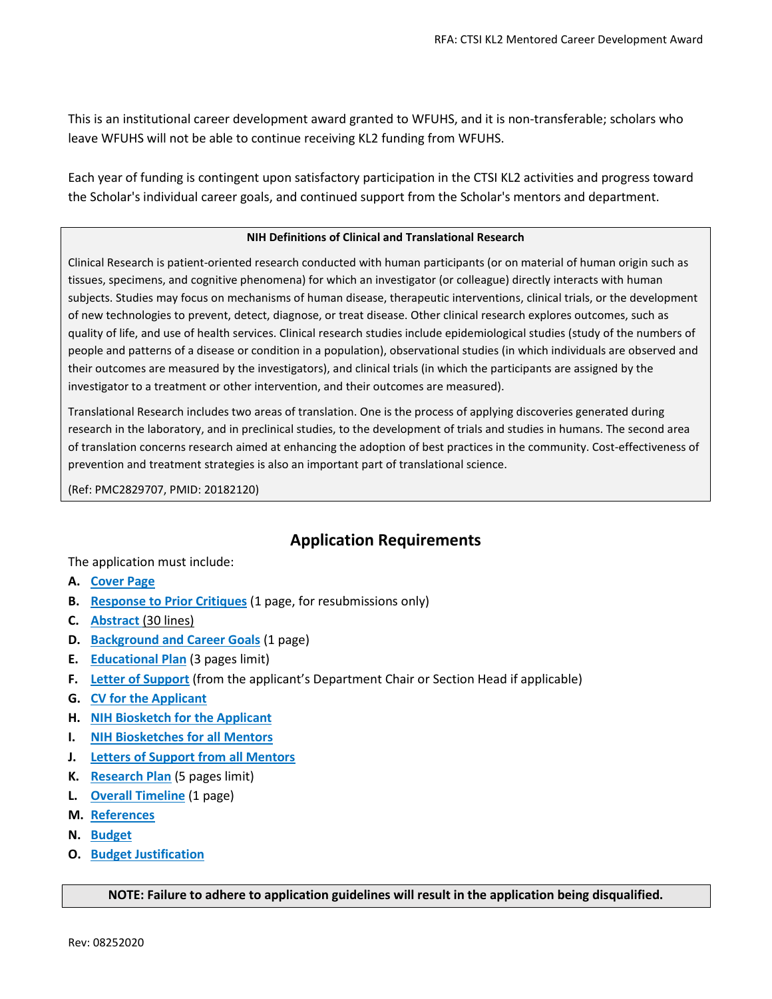This is an institutional career development award granted to WFUHS, and it is non-transferable; scholars who leave WFUHS will not be able to continue receiving KL2 funding from WFUHS.

Each year of funding is contingent upon satisfactory participation in the CTSI KL2 activities and progress toward the Scholar's individual career goals, and continued support from the Scholar's mentors and department.

#### **NIH Definitions of Clinical and Translational Research**

Clinical Research is patient-oriented research conducted with human participants (or on material of human origin such as tissues, specimens, and cognitive phenomena) for which an investigator (or colleague) directly interacts with human subjects. Studies may focus on mechanisms of human disease, therapeutic interventions, clinical trials, or the development of new technologies to prevent, detect, diagnose, or treat disease. Other clinical research explores outcomes, such as quality of life, and use of health services. Clinical research studies include epidemiological studies (study of the numbers of people and patterns of a disease or condition in a population), observational studies (in which individuals are observed and their outcomes are measured by the investigators), and clinical trials (in which the participants are assigned by the investigator to a treatment or other intervention, and their outcomes are measured).

Translational Research includes two areas of translation. One is the process of applying discoveries generated during research in the laboratory, and in preclinical studies, to the development of trials and studies in humans. The second area of translation concerns research aimed at enhancing the adoption of best practices in the community. Cost-effectiveness of prevention and treatment strategies is also an important part of translational science.

(Ref: PMC2829707, PMID: 20182120)

## **Application Requirements**

The application must include:

- **A. [Cover Page](#page-3-0)**
- **B. [Response to Prior Critiques](#page-3-1)** (1 page, for resubmissions only)
- **C. [Abstract](#page-3-2)** (30 lines)
- **D. [Background and Career Goals](#page-3-3)** (1 page)
- **E. [Educational Plan](#page-3-4)** (3 pages limit)
- **F. [Letter of Support](#page-4-0)** (from the applicant's Department Chair or Section Head if applicable)
- **G. CV [for the Applicant](#page-4-1)**
- **H. NIH Biosketch [for the Applicant](#page-4-2)**
- **I. [NIH Biosketches](#page-4-3) for all Mentors**
- **J. Letters of Support [from all Mentors](#page-4-4)**
- **K. [Research Plan](#page-5-0)** (5 pages limit)
- **L. [Overall Timeline](#page-5-1)** (1 page)
- **M. [References](#page-5-2)**
- **N. [Budget](#page-5-3)**
- **O. [Budget Justification](#page-5-4)**

#### **NOTE: Failure to adhere to application guidelines will result in the application being disqualified.**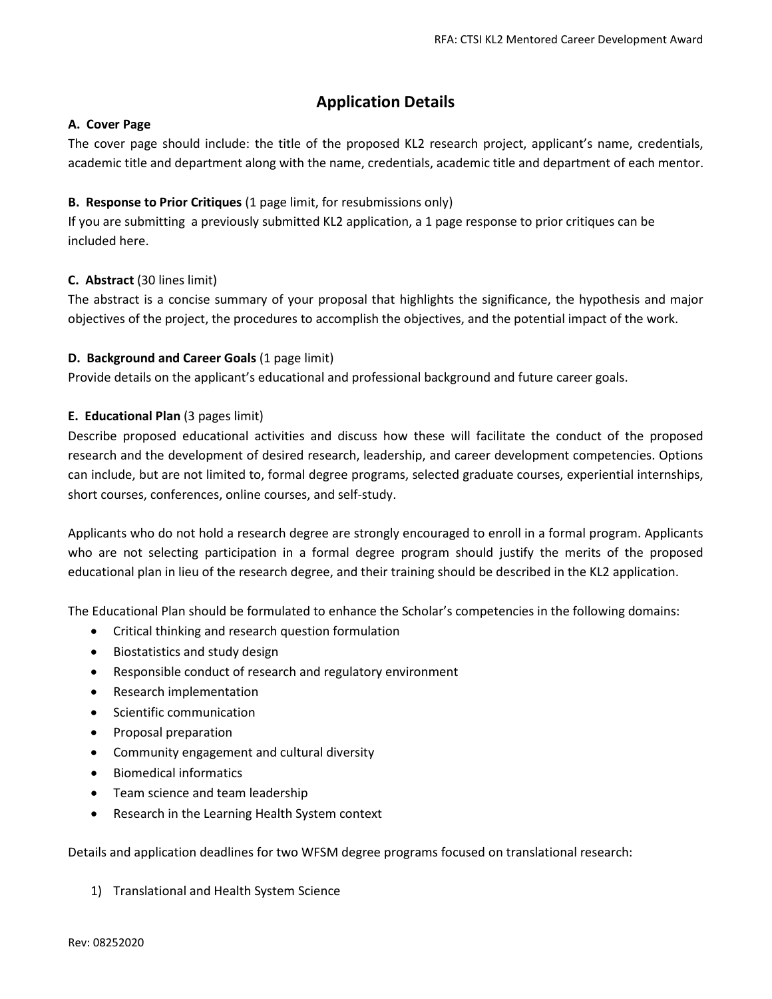## **Application Details**

#### <span id="page-3-0"></span>**A. Cover Page**

The cover page should include: the title of the proposed KL2 research project, applicant's name, credentials, academic title and department along with the name, credentials, academic title and department of each mentor.

#### <span id="page-3-1"></span>**B. Response to Prior Critiques** (1 page limit, for resubmissions only)

If you are submitting a previously submitted KL2 application, a 1 page response to prior critiques can be included here.

### <span id="page-3-2"></span>**C. Abstract** (30 lines limit)

The abstract is a concise summary of your proposal that highlights the significance, the hypothesis and major objectives of the project, the procedures to accomplish the objectives, and the potential impact of the work.

#### <span id="page-3-3"></span>**D. Background and Career Goals** (1 page limit)

Provide details on the applicant's educational and professional background and future career goals.

#### <span id="page-3-4"></span>**E. Educational Plan** (3 pages limit)

Describe proposed educational activities and discuss how these will facilitate the conduct of the proposed research and the development of desired research, leadership, and career development competencies. Options can include, but are not limited to, formal degree programs, selected graduate courses, experiential internships, short courses, conferences, online courses, and self-study.

Applicants who do not hold a research degree are strongly encouraged to enroll in a formal program. Applicants who are not selecting participation in a formal degree program should justify the merits of the proposed educational plan in lieu of the research degree, and their training should be described in the KL2 application.

The Educational Plan should be formulated to enhance the Scholar's competencies in the following domains:

- Critical thinking and research question formulation
- Biostatistics and study design
- Responsible conduct of research and regulatory environment
- Research implementation
- Scientific communication
- Proposal preparation
- Community engagement and cultural diversity
- Biomedical informatics
- Team science and team leadership
- Research in the Learning Health System context

Details and application deadlines for two WFSM degree programs focused on translational research:

1) Translational and Health System Science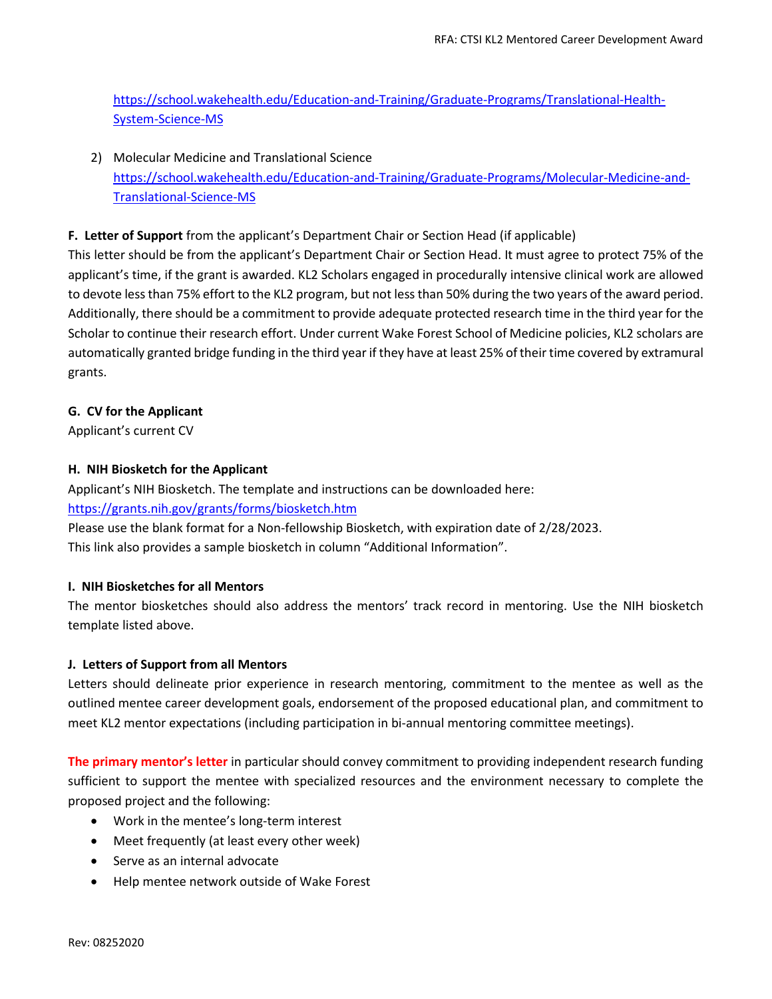[https://school.wakehealth.edu/Education-and-Training/Graduate-Programs/Translational-Health-](https://school.wakehealth.edu/Education-and-Training/Graduate-Programs/Translational-Health-System-Science-MS)[System-Science-MS](https://school.wakehealth.edu/Education-and-Training/Graduate-Programs/Translational-Health-System-Science-MS)

2) Molecular Medicine and Translational Science [https://school.wakehealth.edu/Education-and-Training/Graduate-Programs/Molecular-Medicine-and-](https://school.wakehealth.edu/Education-and-Training/Graduate-Programs/Molecular-Medicine-and-Translational-Science-MS)[Translational-Science-MS](https://school.wakehealth.edu/Education-and-Training/Graduate-Programs/Molecular-Medicine-and-Translational-Science-MS)

### <span id="page-4-0"></span>**F. Letter of Support** from the applicant's Department Chair or Section Head (if applicable)

This letter should be from the applicant's Department Chair or Section Head. It must agree to protect 75% of the applicant's time, if the grant is awarded. KL2 Scholars engaged in procedurally intensive clinical work are allowed to devote less than 75% effort to the KL2 program, but not less than 50% during the two years of the award period. Additionally, there should be a commitment to provide adequate protected research time in the third year for the Scholar to continue their research effort. Under current Wake Forest School of Medicine policies, KL2 scholars are automatically granted bridge funding in the third year if they have at least 25% of their time covered by extramural grants.

### <span id="page-4-1"></span>**G. CV for the Applicant**

Applicant's current CV

### <span id="page-4-2"></span>**H. NIH Biosketch for the Applicant**

Applicant's NIH Biosketch. The template and instructions can be downloaded here: <https://grants.nih.gov/grants/forms/biosketch.htm>

Please use the blank format for a Non-fellowship Biosketch, with expiration date of 2/28/2023. This link also provides a sample biosketch in column "Additional Information".

### <span id="page-4-3"></span>**I. NIH Biosketches for all Mentors**

The mentor biosketches should also address the mentors' track record in mentoring. Use the NIH biosketch template listed above.

### <span id="page-4-4"></span>**J. Letters of Support from all Mentors**

Letters should delineate prior experience in research mentoring, commitment to the mentee as well as the outlined mentee career development goals, endorsement of the proposed educational plan, and commitment to meet KL2 mentor expectations (including participation in bi-annual mentoring committee meetings).

**The primary mentor's letter** in particular should convey commitment to providing independent research funding sufficient to support the mentee with specialized resources and the environment necessary to complete the proposed project and the following:

- Work in the mentee's long-term interest
- Meet frequently (at least every other week)
- Serve as an internal advocate
- Help mentee network outside of Wake Forest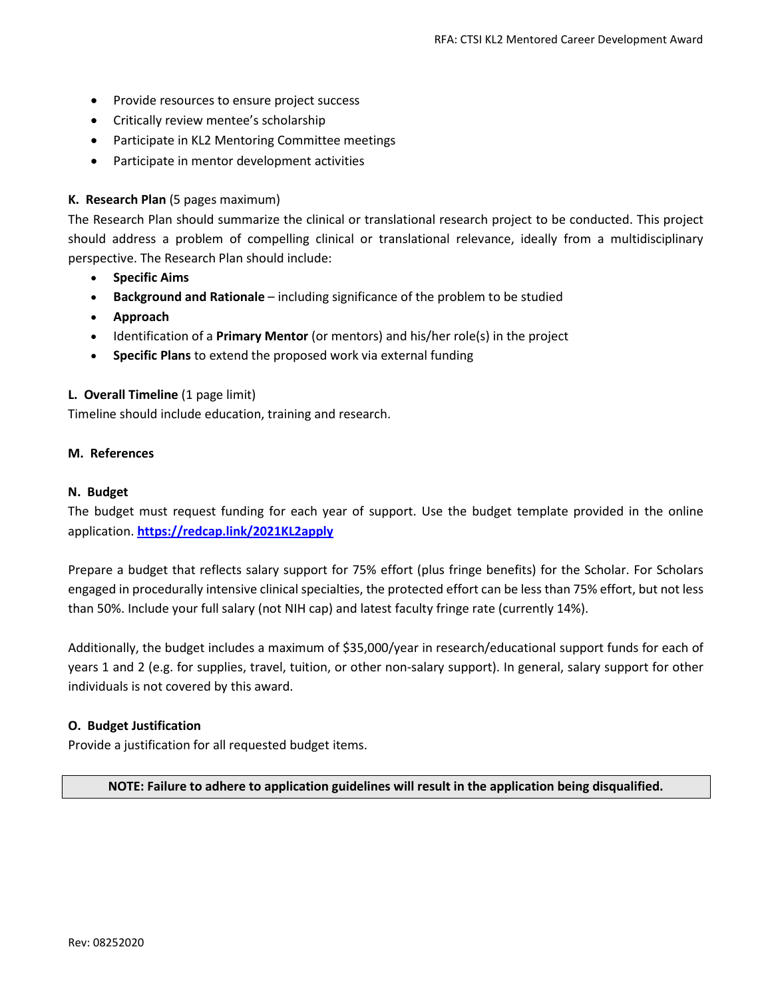- Provide resources to ensure project success
- Critically review mentee's scholarship
- Participate in KL2 Mentoring Committee meetings
- Participate in mentor development activities

#### <span id="page-5-0"></span>**K. Research Plan** (5 pages maximum)

The Research Plan should summarize the clinical or translational research project to be conducted. This project should address a problem of compelling clinical or translational relevance, ideally from a multidisciplinary perspective. The Research Plan should include:

- **Specific Aims**
- **Background and Rationale** including significance of the problem to be studied
- **Approach**
- Identification of a **Primary Mentor** (or mentors) and his/her role(s) in the project
- **Specific Plans** to extend the proposed work via external funding

#### <span id="page-5-1"></span>**L. Overall Timeline** (1 page limit)

Timeline should include education, training and research.

#### <span id="page-5-2"></span>**M. References**

#### <span id="page-5-3"></span>**N. Budget**

The budget must request funding for each year of support. Use the budget template provided in the online application. **<https://redcap.link/2021KL2apply>**

Prepare a budget that reflects salary support for 75% effort (plus fringe benefits) for the Scholar. For Scholars engaged in procedurally intensive clinical specialties, the protected effort can be less than 75% effort, but not less than 50%. Include your full salary (not NIH cap) and latest faculty fringe rate (currently 14%).

Additionally, the budget includes a maximum of \$35,000/year in research/educational support funds for each of years 1 and 2 (e.g. for supplies, travel, tuition, or other non-salary support). In general, salary support for other individuals is not covered by this award.

#### <span id="page-5-4"></span>**O. Budget Justification**

Provide a justification for all requested budget items.

**NOTE: Failure to adhere to application guidelines will result in the application being disqualified.**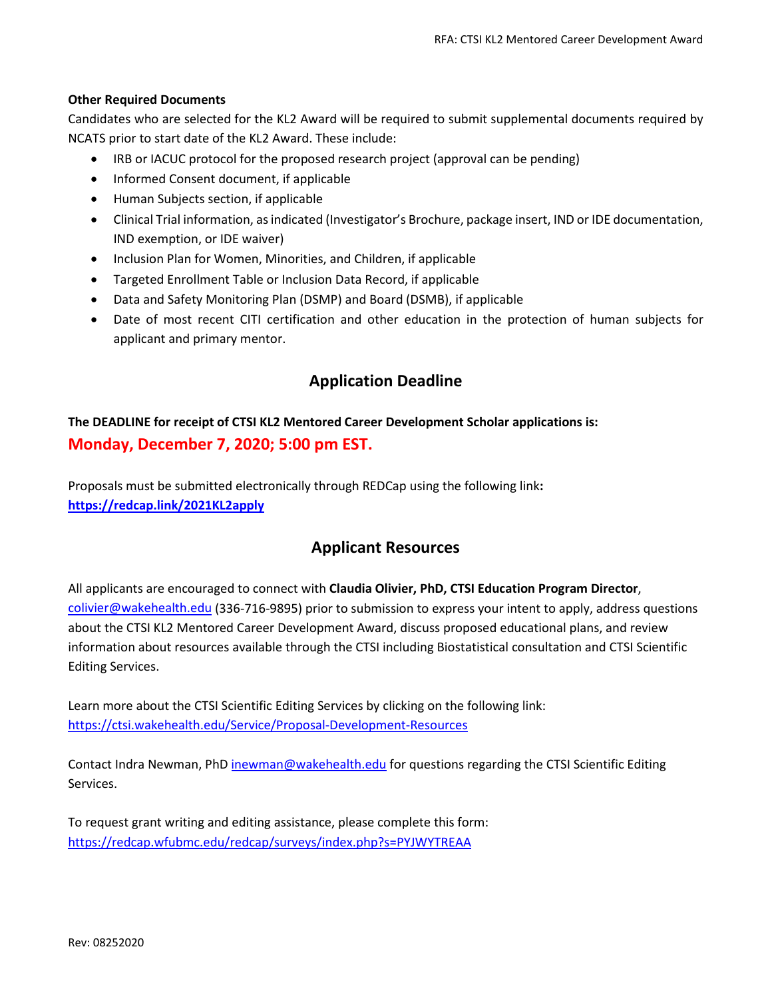#### **Other Required Documents**

Candidates who are selected for the KL2 Award will be required to submit supplemental documents required by NCATS prior to start date of the KL2 Award. These include:

- IRB or IACUC protocol for the proposed research project (approval can be pending)
- Informed Consent document, if applicable
- Human Subjects section, if applicable
- Clinical Trial information, as indicated (Investigator's Brochure, package insert, IND or IDE documentation, IND exemption, or IDE waiver)
- Inclusion Plan for Women, Minorities, and Children, if applicable
- Targeted Enrollment Table or Inclusion Data Record, if applicable
- Data and Safety Monitoring Plan (DSMP) and Board (DSMB), if applicable
- Date of most recent CITI certification and other education in the protection of human subjects for applicant and primary mentor.

## **Application Deadline**

# **The DEADLINE for receipt of CTSI KL2 Mentored Career Development Scholar applications is: Monday, December 7, 2020; 5:00 pm EST.**

Proposals must be submitted electronically through REDCap using the following link**: <https://redcap.link/2021KL2apply>**

## **Applicant Resources**

All applicants are encouraged to connect with **Claudia Olivier, PhD, CTSI Education Program Director**, [colivier@wakehealth.edu](mailto:colivier@wakehealth.edu) (336-716-9895) prior to submission to express your intent to apply, address questions about the CTSI KL2 Mentored Career Development Award, discuss proposed educational plans, and review information about resources available through the CTSI including Biostatistical consultation and CTSI Scientific Editing Services.

Learn more about the CTSI Scientific Editing Services by clicking on the following link: <https://ctsi.wakehealth.edu/Service/Proposal-Development-Resources>

Contact Indra Newman, PhD [inewman@wakehealth.edu](mailto:inewman@wakehealth.edu) for questions regarding the CTSI Scientific Editing Services.

To request grant writing and editing assistance, please complete this form: <https://redcap.wfubmc.edu/redcap/surveys/index.php?s=PYJWYTREAA>